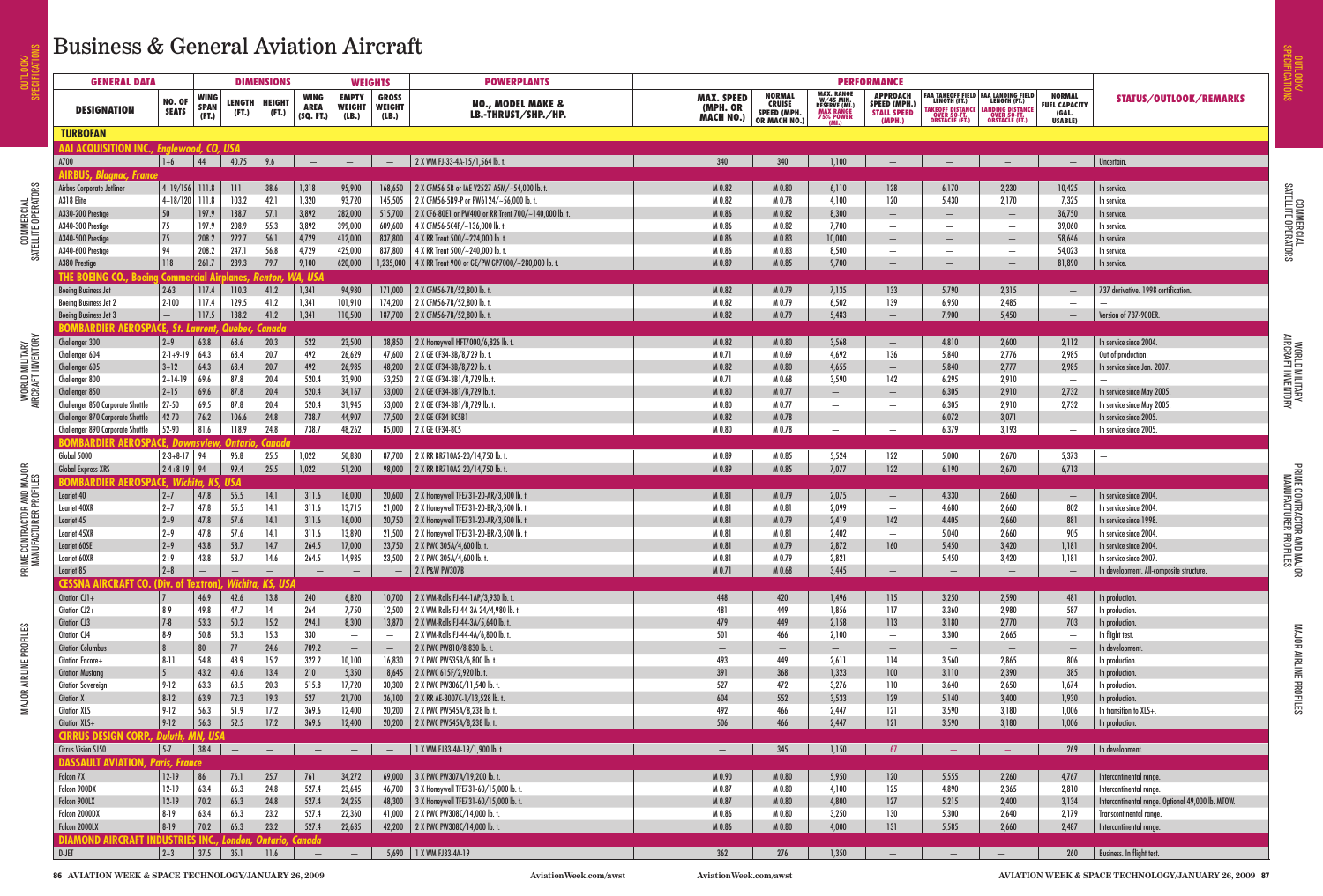| <b>GENERAL DATA</b>                                                  |                        |                                     |                                              | <b>DIMENSIONS</b>        |                                         |                                 | <b>WEIGHTS</b>                         | <b>POWERPLANTS</b>                                                         |                                                   |                                                                      |                                                                               | <b>PERFORMANCE</b>                                                     |                                                   |                                                                                                                                |                                                           |                                                    |
|----------------------------------------------------------------------|------------------------|-------------------------------------|----------------------------------------------|--------------------------|-----------------------------------------|---------------------------------|----------------------------------------|----------------------------------------------------------------------------|---------------------------------------------------|----------------------------------------------------------------------|-------------------------------------------------------------------------------|------------------------------------------------------------------------|---------------------------------------------------|--------------------------------------------------------------------------------------------------------------------------------|-----------------------------------------------------------|----------------------------------------------------|
| <b>DESIGNATION</b>                                                   | NO. OF<br><b>SEATS</b> | <b>WING</b><br><b>SPAN</b><br>(FI.) | LENGTH   HEIGHT<br>(FT.)                     | (FT.)                    | <b>WING</b><br><b>AREA</b><br>(SQ. FT.) | <b>EMPTY</b><br>(LB.)           | <b>GROSS</b><br>WEIGHT WEIGHT<br>(LB.) | <b>NO., MODEL MAKE &amp;</b><br>LB.-THRUST/SHP./HP.                        | <b>MAX. SPEED</b><br>(MPH. OR<br><b>MACH NO.)</b> | <b>NORMAL</b><br><b>CRUISE</b><br><b>SPEED (MPH.</b><br>OR MACH NO.) | <b>MAX. RANGE<br/>W/45 MIN.<br/>RESERVE (MI.)<br/>MAX RANGE<br/>75% POWER</b> | <b>APPROACH</b><br><b>SPEED (MPH.)</b><br><b>STALL SPEED</b><br>(MPH.) | TAKEOFF DISTANCE<br>OVER 50-FT.<br>OBSTACLE (FT.) | FAA TAKEOFF FIELD FAA LANDING FIELD<br>LENGTH (FT.) LENGTH (FT.)<br><b>LANDING DISTANCE<br/>OVER 50-FT.<br/>OBSTACLE (FT.)</b> | <b>NORMAL</b><br><b>FUEL CAPACITY</b><br>(GAL.<br>USABLE) | STATUS/OUTLOOK/REMARKS                             |
| <b>TURBOFAN</b>                                                      |                        |                                     |                                              |                          |                                         |                                 |                                        |                                                                            |                                                   |                                                                      |                                                                               |                                                                        |                                                   |                                                                                                                                |                                                           |                                                    |
| AAI ACQUISITION INC., <i>Englewoo<u>d. CO</u>. USA</i>               |                        |                                     |                                              |                          |                                         |                                 |                                        |                                                                            |                                                   |                                                                      |                                                                               |                                                                        |                                                   |                                                                                                                                |                                                           |                                                    |
| A700                                                                 | $ 1+6 $                | $\vert$ 44                          | 40.75                                        | 9.6                      | $\vert \cdot \vert$                     | $\overline{\phantom{m}}$        |                                        | 2 X WM FJ-33-4A-15/1,564 lb. t.                                            | 340                                               | 340                                                                  | 1,100                                                                         |                                                                        | $\overline{\phantom{m}}$                          |                                                                                                                                | $\overline{\phantom{0}}$                                  | Uncertain.                                         |
| <b>AIRBUS, Blagnac, France</b>                                       |                        |                                     |                                              |                          |                                         |                                 |                                        |                                                                            |                                                   |                                                                      |                                                                               |                                                                        |                                                   |                                                                                                                                |                                                           |                                                    |
| Airbus Corporate Jetliner                                            | $ 4+19/156 111.8$      |                                     | 111                                          | 38.6                     | 1,318                                   | 95,900                          | 168,650                                | 2 X CFM56-5B or IAE V2527-A5M/~54,000 lb. t.                               | M 0.82                                            | M 0.80                                                               | 6,110                                                                         | 128                                                                    | 6,170                                             | 2,230                                                                                                                          | 10,425                                                    | In service.                                        |
| A318 Elite                                                           | $4+18/120$             | 111.8                               | 103.2                                        | 42.1                     | 1,320                                   | 93,720                          | 145,505                                | 2 X CFM56-5B9-P or PW6124/~56.000 lb. t.                                   | M 0.82                                            | M 0.78                                                               | 4,100                                                                         | 120                                                                    | 5,430                                             | 2,170                                                                                                                          | 7,325                                                     | In service.                                        |
| A330-200 Prestige                                                    | 50                     | 197.9                               | 188.7                                        | 57.1                     | 3,892                                   | 282,000                         | 515,700                                | 2 X CF6-80E1 or PW400 or RR Trent 700/~140,000 lb. t.                      | M 0.86                                            | M 0.82                                                               | 8,300                                                                         | $\overline{\phantom{m}}$                                               | $\overline{\phantom{m}}$                          | $\overline{\phantom{m}}$                                                                                                       | 36,750                                                    | In service.                                        |
| A340-300 Prestige                                                    | 75                     | 197.9                               | 208.9                                        | 55.3                     | 3,892                                   | 399,000                         | 609,600                                | 4 X CFM56-5C4P/~136,000 lb. t.                                             | M0.86                                             | M 0.82                                                               | 7,700                                                                         | $\overline{\phantom{m}}$                                               | $\overline{\phantom{a}}$                          | $\overline{\phantom{0}}$                                                                                                       | 39,060                                                    | In service.                                        |
| A340-500 Prestige                                                    | 75                     | 208.2                               | 222.7                                        | 56.1                     | 4,729                                   | 412,000                         | 837,800                                | 4 X RR Trent 500/~224,000 lb. t.                                           | M 0.86                                            | M 0.83                                                               | 10.000                                                                        | $\overline{\phantom{m}}$                                               | —                                                 | $\qquad \qquad -$                                                                                                              | 58,646                                                    | In service.                                        |
| A340-600 Prestige                                                    | 94                     | 208.2                               | 247.1                                        | 56.8                     | 4,729                                   | 425,000                         | 837,800                                | 4 X RR Trent 500/~240,000 lb. t.                                           | M 0.86                                            | M 0.83                                                               | 8,500                                                                         | $\qquad \qquad -$                                                      | $\overline{\phantom{m}}$                          | $\qquad \qquad -$                                                                                                              | 54,023                                                    | In service.                                        |
| A380 Prestige                                                        | 118                    | 261.7                               | 239.3<br><b>Commercial Airplanes, Renton</b> | 79.7                     | 9,100                                   | 620,000                         | 1,235,000                              | 4 X RR Trent 900 or GE/PW GP7000/~280,000 lb. t.                           | M 0.89                                            | M 0.85                                                               | 9,700                                                                         | $\overline{\phantom{m}}$                                               | $\overline{\phantom{a}}$                          |                                                                                                                                | 81,890                                                    | In service.                                        |
| THE BOEING CO Boein                                                  |                        |                                     |                                              |                          | L IISA                                  |                                 |                                        |                                                                            |                                                   |                                                                      |                                                                               |                                                                        |                                                   |                                                                                                                                |                                                           | 737 derivative. 1998 certification.                |
| <b>Boeing Business Jet</b><br><b>Boeing Business Jet 2</b>           | $ 2-63 $<br>$ 2 - 100$ | 117.4                               | 110.3<br>129.5                               | 41.2<br>41.2             | 1,341<br>1,341                          | 94,980                          | 171,000<br>174,200                     | 2 X CFM56-7B/52,800 lb. t.<br>2 X CFM56-7B/52,800 lb. t.                   | M 0.82<br>M 0.82                                  | M 0.79                                                               | 7,135<br>6,502                                                                | 133                                                                    | 5,790<br>6,950                                    | 2,315<br>2,485                                                                                                                 | $\overline{\phantom{m}}$                                  |                                                    |
| <b>Boeing Business Jet 3</b>                                         |                        | 117.4<br>117.5                      | 138.2                                        | 41.2                     | 1,341                                   | 101,910<br>110,500              | 187,700                                | 2 X CFM56-7B/52,800 lb. t.                                                 | M 0.82                                            | M 0.79<br>M 0.79                                                     | 5,483                                                                         | 139<br>$\overline{\phantom{m}}$                                        | 7,900                                             | 5,450                                                                                                                          | $\overline{\phantom{m}}$<br>$\overline{\phantom{m}}$      | Version of 737-900ER.                              |
|                                                                      | ACE <i>. St. L</i>     |                                     |                                              |                          |                                         |                                 |                                        |                                                                            |                                                   |                                                                      |                                                                               |                                                                        |                                                   |                                                                                                                                |                                                           |                                                    |
| Challenger 300                                                       | $ 2+9 $                | 63.8                                | 68.6                                         | 20.3                     | 522                                     | 23,500                          |                                        | 38,850 2 X Honeywell HFT7000/6,826 lb. t.                                  | M 0.82                                            | M 0.80                                                               | 3,568                                                                         | $\overline{\phantom{m}}$                                               | 4,810                                             | 2,600                                                                                                                          | 2,112                                                     | In service since 2004.                             |
| Challenger 604                                                       | $2-1+9-19$             | 64.3                                | 68.4                                         | 20.7                     | 492                                     | 26,629                          | 47,600                                 | 2 X GE CF34-3B/8,729 lb. t.                                                | M 0.71                                            | M 0.69                                                               | 4,692                                                                         | 136                                                                    | 5,840                                             | 2,776                                                                                                                          | 2,985                                                     | Out of production.                                 |
| Challenger 605                                                       | $ 3+12 $               | 64.3                                | 68.4                                         | 20.7                     | 492                                     | 26,985                          | 48,200                                 | 2 X GE CF34-3B/8,729 lb. t.                                                | M 0.82                                            | M 0.80                                                               | 4,655                                                                         | $\overline{\phantom{m}}$                                               | 5,840                                             | 2,777                                                                                                                          | 2,985                                                     | In service since Jan. 2007.                        |
| Challenger 800                                                       | $2+14-19$              | 69.6                                | 87.8                                         | 20.4                     | 520.4                                   | 33,900                          | 53,250                                 | 2 X GE CF34-3B1/8,729 lb. t.                                               | M 0.71                                            | M0.68                                                                | 3,590                                                                         | 142                                                                    | 6,295                                             | 2,910                                                                                                                          | $\overline{\phantom{a}}$                                  |                                                    |
| Challenger 850                                                       | $ 2+15 $               | 69.6                                | 87.8                                         | 20.4                     | 520.4                                   | 34,167                          | 53,000                                 | 2 X GE CF34-3B1/8,729 lb. t.                                               | M 0.80                                            | M 0.77                                                               | $\overline{\phantom{m}}$                                                      | $\overline{\phantom{0}}$                                               | 6,305                                             | 2,910                                                                                                                          | 2,732                                                     | In service since May 2005.                         |
| Challenger 850 Corporate Shuttle                                     | $27 - 50$              | 69.5                                | 87.8                                         | 20.4                     | 520.4                                   | 31,945                          | 53,000                                 | 2 X GE CF34-3B1/8,729 lb. t.                                               | M 0.80                                            | M 0.77                                                               | $\overline{\phantom{a}}$                                                      | $\overline{\phantom{0}}$                                               | 6,305                                             | 2,910                                                                                                                          | 2,732                                                     | In service since May 2005.                         |
| <b>Challenger 870 Corporate Shuttle</b>                              | 42-70                  | 76.2                                | 106.6                                        | 24.8                     | 738.7                                   | 44,907                          | 77,500                                 | 2 X GE CF34-BC5B1                                                          | M 0.82                                            | M 0.78                                                               | $\overline{\phantom{m}}$                                                      |                                                                        | 6,072                                             | 3,071                                                                                                                          | $\overline{\phantom{m}}$                                  | In service since 2005.                             |
| Challenger 890 Corporate Shuttle                                     | 52-90                  | 81.6                                | 118.9                                        | $24.8$                   | 738.7                                   | 48,262                          | 85,000                                 | 2 X GE CF34-8C5                                                            | M 0.80                                            | M 0.78                                                               | $\overline{\phantom{a}}$                                                      | $\overline{\phantom{0}}$                                               | 6,379                                             | 3,193                                                                                                                          | $\overline{\phantom{m}}$                                  | In service since 2005.                             |
| OMBARDIER AEROSPACE. Downsview.                                      |                        |                                     |                                              |                          |                                         |                                 |                                        |                                                                            |                                                   |                                                                      |                                                                               |                                                                        |                                                   |                                                                                                                                |                                                           |                                                    |
| Global 5000                                                          | $2-3+8-17$ 94          |                                     | 96.8                                         | 25.5                     | 1,022                                   | 50,830                          | 87,700                                 | 2 X RR BR710A2-20/14,750 lb. t.                                            | M 0.89                                            | M 0.85                                                               | 5,524                                                                         | 122                                                                    | 5,000                                             | 2,670                                                                                                                          | 5,373                                                     | $\qquad \qquad -$                                  |
| <b>Global Express XRS</b>                                            | $ 2-4+8-19 $           | 94                                  | 99.4                                         | 25.5                     | 1,022                                   | 51,200                          | 98,000                                 | 2 X RR BR710A2-20/14,750 lb. t.                                            | M 0.89                                            | M 0.85                                                               | 7,077                                                                         | 122                                                                    | 6,190                                             | 2,670                                                                                                                          | 6,713                                                     | $\overline{\phantom{0}}$                           |
|                                                                      |                        |                                     |                                              |                          |                                         |                                 |                                        |                                                                            |                                                   |                                                                      |                                                                               |                                                                        |                                                   |                                                                                                                                |                                                           |                                                    |
| Learjet 40                                                           | $ 2+7 $                | 47.8                                | 55.5                                         | 14.1                     | 311.6                                   | 16,000                          |                                        | 20,600   2 X Honeywell TFE731-20-AR/3,500 lb. t.                           | M 0.81                                            | M 0.79                                                               | 2,075                                                                         | $\overline{\phantom{m}}$                                               | 4,330                                             | 2,660                                                                                                                          | $\overline{\phantom{m}}$                                  | In service since 2004.                             |
| Learjet 40XR                                                         | $2+7$                  | 47.8                                | 55.5                                         | 14.1                     | 311.6                                   | 13,715                          | 21,000                                 | 2 X Honeywell TFE731-20-BR/3,500 lb. t                                     | M 0.81                                            | M 0.81                                                               | 2,099                                                                         | $\overline{\phantom{m}}$                                               | 4,680                                             | 2,660                                                                                                                          | 802                                                       | In service since 2004                              |
| Learjet 45                                                           | $ 2+9 $                | 47.8                                | 57.6                                         | 14.1                     | 311.6                                   | 16,000                          | 20,750                                 | 2 X Honeywell TFE731-20-AR/3,500 lb. t.                                    | M 0.81                                            | M 0.79                                                               | 2,419                                                                         | 142                                                                    | 4,405                                             | 2,660                                                                                                                          | 881                                                       | In service since 1998.                             |
| Learjet 45XR                                                         | $2 + 9$                | 47.8                                | 57.6                                         | 14.1                     | 311.6                                   | 13,890                          | 21,500                                 | 2 X Honeywell TFE731-20-BR/3,500 lb.                                       | M0.81                                             | M 0.81                                                               | 2,402                                                                         | $\overline{\phantom{m}}$                                               | 5,040                                             | 2,660                                                                                                                          | 905                                                       | In service since 2004                              |
| Learjet 60SE                                                         | $ 2+9 $                | 43.8                                | 58.7                                         | 14.7                     | 264.5                                   | 17,000                          | 23,750                                 | 2 X PWC 305A/4,600 lb. t.                                                  | M 0.81                                            | M 0.79                                                               | 2,872                                                                         | 160                                                                    | 5,450                                             | 3,420                                                                                                                          | 1,181                                                     | In service since 2004.                             |
| Learjet 60XR                                                         | $12+9$                 | 43.8                                | 58.7                                         | 14.6                     | 264.5                                   | 14,985                          | 23,500                                 | 2 X PWC 305A/4,600 lb. t.                                                  | M0.81                                             | M 0.79                                                               | 2,821                                                                         | $\overline{\phantom{m}}$                                               | 5,450                                             | 3,420                                                                                                                          | 1.181                                                     | In service since 2007                              |
| Learjet 85                                                           | $ 2+8 $                |                                     |                                              |                          |                                         | $\overline{\phantom{0}}$        | $\hspace{0.1mm}-\hspace{0.1mm}$        | <b>2 X P&amp;W PW307B</b>                                                  | M 0.71                                            | M 0.68                                                               | 3,445                                                                         | $\qquad \qquad -$                                                      |                                                   |                                                                                                                                | $\hspace{0.1mm}-\hspace{0.1mm}$                           | In development. All-composite structure.           |
| CESSNA AIRCRAFT CO. (Div. of Textron), Wichita, KS, USA              |                        |                                     |                                              |                          |                                         |                                 |                                        |                                                                            |                                                   |                                                                      |                                                                               |                                                                        |                                                   |                                                                                                                                |                                                           |                                                    |
| Citation $CJ$ +                                                      | $\overline{1}$         | 46.9                                | 42.6                                         | 13.8                     | 240                                     | 6,820                           | 10,700                                 | 2 X WM-Rolls FJ-44-1AP/3,930 lb. t.                                        | 448                                               | 420                                                                  | 1,496                                                                         | 115                                                                    | 3,250                                             | 2,590                                                                                                                          | 481                                                       | In production.                                     |
| Citation CJ2+                                                        | 8-9                    | 49.8                                | 47.7                                         | 14                       | 264                                     | 7,750                           | 12,500                                 | 2 X WM-Rolls FJ-44-3A-24/4,980 lb. t.                                      | 481                                               | 449                                                                  | 1,856                                                                         | 117                                                                    | 3,360                                             | 2,980                                                                                                                          | 587                                                       | In production.                                     |
| <b>Citation CJ3</b>                                                  | $7-8$                  | 53.3                                | 50.2                                         | 15.2                     | 294.1                                   | 8,300                           | 13,870                                 | 2 X WM-Rolls FJ-44-3A/5,640 lb. t.                                         | 479                                               | 449                                                                  | 2,158                                                                         | 113                                                                    | 3,180                                             | 2,770                                                                                                                          | 703                                                       | In production.                                     |
| <b>Citation CJ4</b>                                                  | $8-9$                  | 50.8                                | 53.3                                         | 15.3                     | 330                                     | $\qquad \qquad -$               | $\hspace{0.1mm}-\hspace{0.1mm}$        | 2 X WM-Rolls FJ-44-4A/6.800 lb. t.                                         | 501                                               | 466                                                                  | 2,100                                                                         | $\overline{\phantom{m}}$                                               | 3,300                                             | 2,665                                                                                                                          | $\overline{\phantom{m}}$                                  | In flight test.                                    |
| <b>Citation Columbus</b>                                             |                        | 80                                  | 77                                           | 24.6                     | 709.2                                   |                                 |                                        | 2 X PWC PW810/8,830 lb. t.                                                 | $\qquad \qquad -$                                 | $\overline{\phantom{0}}$                                             | $-$                                                                           | $\qquad \qquad -$                                                      | $\overline{\phantom{m}}$                          | $\overline{\phantom{0}}$                                                                                                       |                                                           | In development                                     |
| Citation Encore+                                                     | $8 - 11$               | 54.8                                | 48.9                                         | 15.2                     | 322.2                                   | 10,100                          | 16,830                                 | 2 X PWC PW535B/6,800 lb. t.                                                | 493                                               | 449                                                                  | 2,611                                                                         | 114                                                                    | 3,560                                             | 2,865                                                                                                                          | 806                                                       | In production.                                     |
| <b>Citation Mustang</b>                                              |                        | 43.2                                | 40.6                                         | $13.4$                   | 210                                     | 5,350                           | 8,645                                  | 2 X PWC 615F/2,920 lb. t.                                                  | 391                                               | 368                                                                  | 1,323                                                                         | 100                                                                    | 3,110                                             | 2,390                                                                                                                          | 385                                                       | In production.                                     |
| <b>Citation Sovereign</b>                                            | $9-12$                 | 63.3                                | 63.5                                         | 20.3                     | 515.8                                   | 17,720                          | 30,300                                 | 2 X PWC PW306C/11,540 lb. t.                                               | 527                                               | 472                                                                  | 3,276                                                                         | 110                                                                    | 3,640                                             | 2,650                                                                                                                          | 1,674                                                     | In production.                                     |
| <b>Citation X</b>                                                    | $8-12$                 | 63.9                                | 72.3                                         | 19.3                     | 527                                     | 21,700                          |                                        | 36,100 2 X RR AE-3007C-1/13,528 lb. t.                                     | 604                                               | 552                                                                  | 3,533                                                                         | 129                                                                    | 5,140                                             | 3,400                                                                                                                          | 1,930                                                     | In production.                                     |
| <b>Citation XLS</b>                                                  | $9-12$                 | 56.3                                | 51.9                                         | 17.2                     | 369.6                                   | 12,400                          | 20,200                                 | 2 X PWC PW545A/8,238 lb. t.                                                | 492                                               | 466                                                                  | 2,447                                                                         | 121                                                                    | 3,590                                             | 3,180                                                                                                                          | 1,006                                                     | In transition to XLS+.                             |
| Citation XLS+<br><b>CIRRUS DESIGN COR</b>                            | $9-12$                 | 56.3                                | 52.5                                         | 17.2                     | 369.6                                   | 12,400                          |                                        | 20,200 2 X PWC PW545A/8,238 lb. t.                                         | 506                                               | 466                                                                  | 2,447                                                                         | 121                                                                    | 3,590                                             | 3,180                                                                                                                          | 1,006                                                     | In production.                                     |
|                                                                      | Duluth, MN, USA        |                                     |                                              |                          |                                         |                                 |                                        |                                                                            |                                                   |                                                                      |                                                                               |                                                                        |                                                   |                                                                                                                                |                                                           |                                                    |
| <b>Cirrus Vision SJ50</b>                                            | $5-7$                  | 38.4                                | $\hspace{0.1mm}-\hspace{0.1mm}$              | $\overline{\phantom{0}}$ | $\sim$ $ \sim$                          | $\hspace{0.1mm}-\hspace{0.1mm}$ | $\sim$                                 | 1 X WM FJ33-4A-19/1,900 lb. t.                                             | $-$                                               | 345                                                                  | 1,150                                                                         | 67                                                                     | $\sim$                                            | $\sim$                                                                                                                         | 269                                                       | In development.                                    |
| <b>DASSAULT AVIATION, Paris, France</b>                              |                        |                                     |                                              |                          |                                         |                                 |                                        |                                                                            |                                                   |                                                                      |                                                                               |                                                                        |                                                   |                                                                                                                                |                                                           |                                                    |
| Falcon 7X                                                            | $ 12-19 $              | 86                                  | 76.1                                         | 25.7                     | 761                                     | 34,272                          |                                        | 69,000 3 X PWC PW307A/19,200 lb. t.                                        | M 0.90                                            | M 0.80                                                               | 5,950                                                                         | 120                                                                    | 5,555                                             | 2,260                                                                                                                          | 4,767                                                     | Intercontinental range.                            |
| Falcon 900DX                                                         | $12-19$                | 63.4                                | 66.3                                         | 24.8                     | 527.4                                   | 23,645                          |                                        | 46,700 3 X Honeywell TFE731-60/15,000 lb. t.                               | M 0.87                                            | M 0.80                                                               | 4,100                                                                         | 125                                                                    | 4,890                                             | 2,365                                                                                                                          | 2,810                                                     | Intercontinental range.                            |
| Falcon 900LX<br>Falcon 2000DX                                        | $ 12-19 $              | 70.2                                | 66.3                                         | 24.8                     | 527.4                                   | 24,255                          |                                        | 48,300 3 X Honeywell TFE731-60/15,000 lb. t.                               | M 0.87                                            | M 0.80                                                               | 4,800                                                                         | 127                                                                    | 5,215                                             | 2,400                                                                                                                          | 3,134                                                     | Intercontinental range. Optional 49,000 lb. MTOW.  |
| Falcon 2000LX                                                        | $8-19$<br>$8-19$       | 63.4<br>70.2                        | 66.3<br>66.3                                 | 23.2<br>23.2             | 527.4<br>527.4                          | 22,360<br>22,635                |                                        | 41,000 2 X PWC PW308C/14,000 lb. t.<br>42,200 2 X PWC PW308C/14,000 lb. t. | M 0.86<br>M 0.86                                  | M 0.80<br>M 0.80                                                     | 3,250<br>4,000                                                                | 130<br>131                                                             | 5,300<br>5,585                                    | 2,640<br>2,660                                                                                                                 | 2,179<br>2,487                                            | Transcontinental range.<br>Intercontinental range. |
| <b>IRCRAFT INDUSTRIES INC., London, Ontario, Canada</b><br>DIAMOND A |                        |                                     |                                              |                          |                                         |                                 |                                        |                                                                            |                                                   |                                                                      |                                                                               |                                                                        |                                                   |                                                                                                                                |                                                           |                                                    |
| D-JET                                                                | $ 2+3 $                | $\vert$ 37.5 $\vert$                | 35.1                                         | $ $ 11.6                 | $\sim$ $ \sim$ $\sim$ $\sim$            | $\sim$ $-$                      |                                        | $5,690$   1 X WM FJ33-4A-19                                                | 362                                               | 276                                                                  | 1,350                                                                         | $\sim$ $-$                                                             | $\mathcal{L} = \mathcal{L}$                       | $\sim$ $-$                                                                                                                     | 260                                                       | Business. In flight test.                          |
|                                                                      |                        |                                     |                                              |                          |                                         |                                 |                                        |                                                                            |                                                   |                                                                      |                                                                               |                                                                        |                                                   |                                                                                                                                |                                                           |                                                    |

UTLOOK/<br>"IECATIONS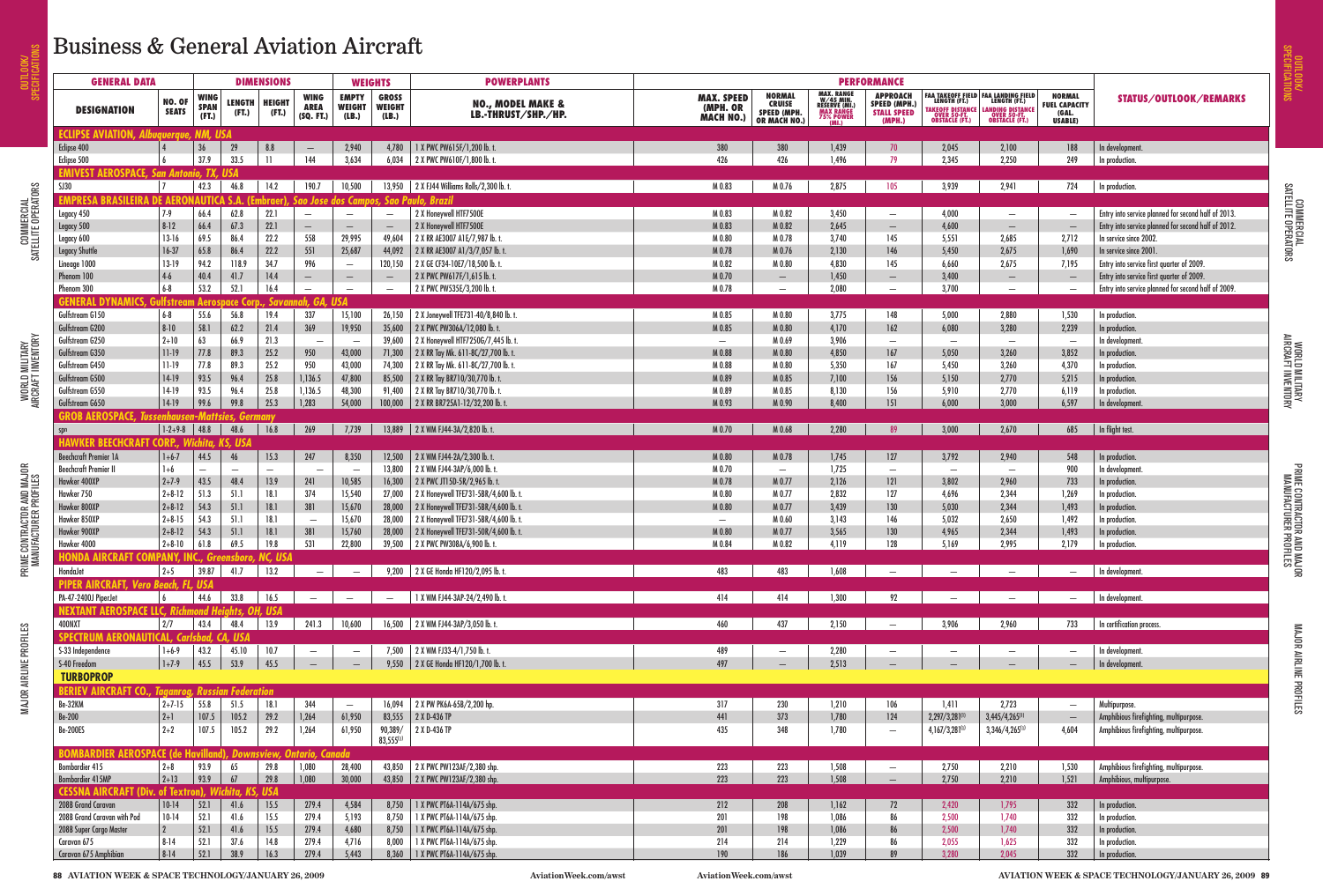**OUTLOOK/** 

|                              | <b>GENERAL DATA</b>                                     |                                  |                                     |                       | <b>DIMENSIONS</b>      |                                                    | <b>WEIGHTS</b>                         |                                        | <b>POWERPLANTS</b>                                                 |                                            |                                                               |                                                                                    | <b>PERFORMANCE</b>                                       |                                                          |                                                                                                                                      |                                                           |                                                     |
|------------------------------|---------------------------------------------------------|----------------------------------|-------------------------------------|-----------------------|------------------------|----------------------------------------------------|----------------------------------------|----------------------------------------|--------------------------------------------------------------------|--------------------------------------------|---------------------------------------------------------------|------------------------------------------------------------------------------------|----------------------------------------------------------|----------------------------------------------------------|--------------------------------------------------------------------------------------------------------------------------------------|-----------------------------------------------------------|-----------------------------------------------------|
|                              | <b>DESIGNATION</b>                                      | <b>NO. OF</b><br><b>SEATS</b>    | <b>WING</b><br><b>SPAN</b><br>(FT.) | (FT.)                 | LENGTH HEIGHT<br>(FT.) | <b>WING</b><br><b>AREA</b><br>(SQ. FT.)            | <b>EMPTY</b><br><b>WEIGHT</b><br>(LB.) | <b>GROSS</b><br><b>WEIGHT</b><br>(LB.) | <b>NO., MODEL MAKE &amp;</b><br>LB.-THRUST/SHP./HP.                | <b>MAX. SPEED</b><br>(MPH. OR<br>MACH NO.) | <b>NORMAL</b><br>CRUISE<br>SPEED (MPH.<br><b>OR MACH NO.)</b> | <b>MAX. RANGE<br/>W/45 MIN.<br/>RESERVE (MI.)</b><br>MAX RANGE<br><b>75% POWER</b> | <b>APPROACH</b><br>SPEED (MPH.)<br>STALL SPEED<br>(MPH.) | TAKEOFF DISTANCE<br>QVER 50-FT.<br><b>OBSTACLE (FT.)</b> | FAA TAKEOFF FIELD FAA LANDING FIELD<br>LENGTH (FT.) LENGTH (FT.)<br><b>LANDING DISTANCE<br/>OVER 50-FT.</b><br><b>OBSTACLE (FT.)</b> | <b>NORMAL</b><br><b>FUEL CAPACITY</b><br>(GAL.<br>USABLE) | STATUS/OUTLOOK/REMARKS                              |
|                              | <b>CLIPSE AVIATION. Albuaueraue</b>                     |                                  | NM. USA                             |                       |                        |                                                    |                                        |                                        |                                                                    |                                            |                                                               |                                                                                    |                                                          |                                                          |                                                                                                                                      |                                                           |                                                     |
| Eclipse 400                  |                                                         |                                  | 36                                  | 29                    | 8.8                    | $\hspace{0.1mm}-\hspace{0.1mm}$                    | 2,940                                  | 4,780                                  | 1 X PWC PW615F/1,200 lb. t.                                        | 380                                        | 380                                                           | 1,439                                                                              | 70                                                       | 2,045                                                    | 2,100                                                                                                                                | 188                                                       | In development                                      |
| Eclipse 500                  |                                                         |                                  | 37.9                                | 33.5                  | $\mathbf{1}$           | 144                                                | 3,634                                  | 6,034                                  | 2 X PWC PW610F/1,800 lb. t                                         | 426                                        | 426                                                           | 1,496                                                                              | 79                                                       | 2,345                                                    | 2,250                                                                                                                                | 249                                                       | In production.                                      |
|                              | IVEST AEROSPACE. <i>San Antonio. TX. USA</i>            |                                  |                                     |                       |                        |                                                    |                                        |                                        |                                                                    |                                            |                                                               |                                                                                    |                                                          |                                                          |                                                                                                                                      |                                                           |                                                     |
| SJ30                         |                                                         | 7                                | 42.3                                | 46.8                  | 14.2                   | 190.7                                              | 10,500                                 |                                        | 13,950   2 X FJ44 Williams Rolls/2,300 lb. t.                      | M 0.83                                     | M 0.76                                                        | 2,875                                                                              | 105                                                      | 3,939                                                    | 2,941                                                                                                                                | 724                                                       | In production.                                      |
|                              |                                                         |                                  |                                     |                       |                        | Sao Jose dos Campi                                 |                                        |                                        | . Sao Paulo. Brazil                                                |                                            |                                                               |                                                                                    |                                                          |                                                          |                                                                                                                                      |                                                           |                                                     |
| Legacy 450                   |                                                         | $7-9$                            | 66.4                                | 62.8                  | 22.1                   | $\overline{\phantom{m}}$                           | $\overline{\phantom{0}}$               | $\overline{\phantom{m}}$               | 2 X Honeywell HTF7500E                                             | M0.83                                      | M 0.82                                                        | 3,450                                                                              | $\overline{\phantom{m}}$                                 | 4,000                                                    | $\overline{\phantom{m}}$                                                                                                             | $\overline{\phantom{m}}$                                  | Entry into service planned for second half of 2013. |
| Legacy 500                   |                                                         | $8-12$                           | $\bf 66.4$                          | $67.3\,$              | $22.1\,$               | $\overline{\phantom{m}}$                           | $\overline{\phantom{m}}$               | $-$                                    | 2 X Honeywell HTF7500E                                             | M 0.83                                     | M 0.82                                                        | 2,645                                                                              | $-$                                                      | 4,600                                                    | $\overline{\phantom{m}}$                                                                                                             |                                                           | Entry into service planned for second half of 2012. |
| Legacy 600                   |                                                         | $13-16$                          | 69.5                                | 86.4                  | 22.2                   | 558                                                | 29,995                                 | 49,604                                 | 2 X RR AE3007 A1E/7,987 lb. t.                                     | M 0.80                                     | M 0.78                                                        | 3,740                                                                              | 145                                                      | 5,551                                                    | 2,685                                                                                                                                | 2,712                                                     | In service since 2002.                              |
| <b>Legacy Shuttle</b>        |                                                         | $16-37$                          | $65.8\,$                            | $86.4\,$              | $22.2$                 | 551                                                | 25,687                                 | 44,092                                 | 2 X RR AE3007 A1/3/7,057 lb. t.                                    | M 0.78                                     | M 0.76                                                        | 2,130                                                                              | 146                                                      | 5,450                                                    | 2,675                                                                                                                                | 1,690                                                     | In service since 2001                               |
| Lineage 1000                 |                                                         | $13-19$                          | 94.2                                | 118.9                 | 34.7                   | 996                                                | $\overline{\phantom{0}}$               | 120,150                                | 2 X GE CF34-10E7/18,500 lb. t.                                     | M 0.82                                     | M 0.80                                                        | 4,830                                                                              | 145                                                      | 6,660                                                    | 2,675                                                                                                                                | 7,195                                                     | Entry into service first quarter of 2009.           |
| Phenom 100                   |                                                         | $4-6$                            | $40.4\,$                            | 41.7                  | $14.4$                 | $\overline{\phantom{m}}$                           | $\qquad \qquad -$                      | $\overline{\phantom{m}}$               | 2 X PWC PW617F/1,615 lb. t.                                        | M 0.70                                     | $\qquad \qquad -$                                             | 1,450                                                                              | $\qquad \qquad -$                                        | 3,400                                                    | $\overline{\phantom{m}}$                                                                                                             |                                                           | Entry into service first quarter of 2009.           |
| Phenom 300                   |                                                         | $6-8$                            | 53.2                                | 52.1                  | $16.4$                 | $\qquad \qquad -$                                  | $\overline{\phantom{0}}$               | $-$                                    | 2 X PWC PW535E/3,200 lb. t                                         | M 0.78                                     | $\overline{\phantom{0}}$                                      | 2,080                                                                              | $\overline{\phantom{0}}$                                 | 3,700                                                    | $\overline{\phantom{m}}$                                                                                                             | $\overline{\phantom{a}}$                                  | Entry into service planned for second half of 2009. |
|                              |                                                         | CS. Gulfstrea                    | ı Aeros                             | nre Co                |                        | ıh GA                                              |                                        |                                        |                                                                    |                                            |                                                               |                                                                                    |                                                          |                                                          |                                                                                                                                      |                                                           |                                                     |
| Gulfstream G150              |                                                         | $6-8$                            | 55.6                                | 56.8                  | 19.4                   | 337                                                | 15,100                                 | 26,150                                 | 2 X Joneywell TFE731-40/8,840 lb. t.                               | M 0.85                                     | M 0.80                                                        | 3,775                                                                              | 148                                                      | 5,000                                                    | 2,880                                                                                                                                | 1,530                                                     | In production.                                      |
| Gulfstream G200              |                                                         | $ 8-10 $                         | 58.1                                | 62.2                  | 21.4                   | 369                                                | 19,950                                 | 35,600                                 | 2 X PWC PW306A/12,080 lb. t.                                       | M 0.85                                     | M 0.80                                                        | 4,170                                                                              | 162                                                      | 6,080                                                    | 3,280                                                                                                                                | 2,239                                                     | In production.                                      |
| Gulfstream G250              |                                                         | $2 + 10$                         | 63                                  | 66.9                  | 21.3                   | $\overline{\phantom{m}}$                           |                                        | 39,600                                 | 2 X Honeywell HTF7250G/7,445 lb. t.                                | $\overline{\phantom{m}}$                   | M 0.69                                                        | 3,906                                                                              | $\overline{\phantom{0}}$                                 | $\overline{\phantom{a}}$                                 | $\overline{\phantom{m}}$                                                                                                             | $\overline{\phantom{m}}$                                  | In development                                      |
| Gulfstream G350              |                                                         | $11-19$                          | $77.8$                              | 89.3                  | 25.2                   | 950                                                | 43,000                                 | 71,300                                 | 2 X RR Tay Mk. 611-8C/27,700 lb. t.                                | M 0.88                                     | M 0.80                                                        | 4,850                                                                              | 167                                                      | 5,050                                                    | 3,260                                                                                                                                | 3,852                                                     | In production.                                      |
| Gulfstream G450              |                                                         | $11 - 19$                        | $77.8$                              | 89.3                  | 25.2                   | 950                                                | 43,000                                 | 74,300                                 | 2 X RR Tay Mk. 611-8C/27,700 lb. t.                                | M 0.88                                     | M 0.80                                                        | 5,350                                                                              | 167                                                      | 5,450                                                    | 3,260                                                                                                                                | 4,370                                                     | In production                                       |
| Gulfstream G500              |                                                         | $14-19$                          | 93.5                                | 96.4                  | $25.8\,$               | 1,136.5                                            | 47,800                                 | 85,500                                 | 2 X RR Tay BR710/30,770 lb. t.                                     | M 0.89                                     | M 0.85                                                        | 7,100                                                                              | 156                                                      | 5,150                                                    | 2,770                                                                                                                                | 5,215                                                     | In production                                       |
| Gulfstream G550              |                                                         | $14-19$                          | 93.5                                | 96.4                  | 25.8                   | 1,136.5                                            | 48,300                                 | 91,400                                 | 2 X RR Tay BR710/30,770 lb. t.                                     | M0.89                                      | M 0.85                                                        | 8,130                                                                              | 156                                                      | 5,910                                                    | 2,770                                                                                                                                | 6,119                                                     | In production.                                      |
| Gulfstream G650              |                                                         | $14-19$                          | 99.6                                | 99.8                  | 25.3                   | 1,283                                              | 54,000                                 | 100,000                                | 2 X RR BR725A1-12/32,200 lb. t.                                    | M 0.93                                     | M 0.90                                                        | 8,400                                                                              | 151                                                      | 6,000                                                    | 3,000                                                                                                                                | 6,597                                                     | In development                                      |
|                              | <b>ROSPACE, Tussenhausen-Mattsie</b>                    |                                  |                                     |                       |                        |                                                    |                                        |                                        |                                                                    |                                            |                                                               |                                                                                    |                                                          |                                                          |                                                                                                                                      |                                                           |                                                     |
|                              |                                                         | $ 1-2+9-8 $ 48.8                 |                                     | 48.6                  | 16.8                   | 269                                                | 7,739                                  | 13,889                                 | 2 X WM FJ44-3A/2,820 lb. t.                                        | M 0.70                                     | M 0.68                                                        | 2,280                                                                              | 89                                                       | 3,000                                                    | 2,670                                                                                                                                | 685                                                       | In flight test.                                     |
|                              | <b>KER BEECHCRAFT CORP Wichita. KS. USA</b>             |                                  |                                     |                       |                        |                                                    |                                        |                                        |                                                                    |                                            |                                                               |                                                                                    |                                                          |                                                          |                                                                                                                                      |                                                           |                                                     |
|                              | <b>Beechcraft Premier 1A</b>                            | $ 1+6-7 $                        | 44.5                                | 46                    | 15.3                   | 247                                                | 8,350                                  | 12,500                                 | 2 X WM FJ44-2A/2,300 lb. t.                                        | M 0.80                                     | M 0.78                                                        | 1,745                                                                              | 127                                                      | 3,792                                                    | 2,940                                                                                                                                | 548                                                       | In production.                                      |
| <b>Beechcraft Premier II</b> |                                                         | $1+6$                            |                                     | $\qquad \qquad -$     | $\qquad \qquad -$      | $\overline{\phantom{m}}$                           |                                        | 13,800                                 | 2 X WM FJ44-3AP/6,000 lb. t.                                       | M 0.70                                     | $\overline{\phantom{m}}$                                      | 1,725                                                                              | $\overline{\phantom{0}}$                                 | $\overline{\phantom{a}}$                                 | $\overline{\phantom{m}}$                                                                                                             | 900                                                       | In development                                      |
| Hawker 400XP                 |                                                         | $ 2+7-9 $                        | 43.5                                | 48.4                  | 13.9                   | 241                                                | 10,585                                 | 16,300                                 | 2 X PWC JT1 5D-5R/2,965 lb. t.                                     | M 0.78                                     | M 0.77                                                        | 2,126                                                                              | 121                                                      | 3,802                                                    | 2,960                                                                                                                                | 733                                                       | In production.                                      |
| Hawker 750                   |                                                         | $2 + 8 - 12$                     | 51.3                                | 51.1                  | 18.1                   | 374                                                | 15,540                                 | 27,000                                 | 2 X Honeywell TFE731-5BR/4,600 lb. t                               | M 0.80                                     | M 0.77                                                        | 2,832                                                                              | 127                                                      | 4,696                                                    | 2,344                                                                                                                                | 1,269                                                     | In production                                       |
| Hawker 800XP                 |                                                         | $ 2+8-12 $                       | 54.3                                | 51.1                  | $18.1\,$               | 381                                                | 15,670                                 | 28,000                                 | 2 X Honeywell TFE731-5BR/4,600 lb. t.                              | M 0.80                                     | M 0.77                                                        | 3,439                                                                              | 130                                                      | 5,030                                                    | 2,344                                                                                                                                | 1,493                                                     | In production.                                      |
| Hawker 850XP                 |                                                         | $2 + 8 - 15$                     | 54.3                                | 51.1                  | 18.1                   | $\hspace{0.1mm}-\hspace{0.1mm}$                    | 15,670                                 | 28,000                                 | 2 X Honeywell TFE731-5BR/4,600 lb. t                               | $\overline{\phantom{m}}$                   | M 0.60                                                        | 3,143                                                                              | 146                                                      | 5,032                                                    | 2,650                                                                                                                                | 1,492                                                     | In production                                       |
| Hawker 900XP                 |                                                         | $ 2+8-12 $                       | 54.3                                | 51.1                  | $18.1\,$               | 381                                                | 15,760                                 | 28,000                                 | 2 X Honeywell TFE731-50R/4,600 lb. t.                              | M 0.80                                     | M 0.77                                                        | 3,565                                                                              | 130                                                      | 4,965                                                    | 2,344                                                                                                                                | 1,493                                                     | In production                                       |
| Hawker 4000                  |                                                         | $2 + 8 - 10$                     | 61.8                                | 69.5                  | 19.8                   | 531                                                | 22,800                                 | 39,500                                 | 2 X PWC PW308A/6,900 lb. t.                                        | M 0.84                                     | M 0.82                                                        | 4,119                                                                              | 128                                                      | 5,169                                                    | 2,995                                                                                                                                | 2,179                                                     | In production.                                      |
|                              |                                                         |                                  |                                     | . Greensboro. NC. US. |                        |                                                    |                                        |                                        |                                                                    |                                            |                                                               |                                                                                    |                                                          |                                                          |                                                                                                                                      |                                                           |                                                     |
| HondaJet                     |                                                         | $ 2+5 $                          | 39.87                               | 41.7                  | $13.2$                 | $\overline{\phantom{0}}$                           | $\overline{\phantom{m}}$               |                                        | 9,200 2 X GE Honda HF120/2,095 lb. t.                              | 483                                        | 483                                                           | 1,608                                                                              | $\overline{\phantom{m}}$                                 | $\overline{\phantom{a}}$                                 |                                                                                                                                      | $\overline{\phantom{0}}$                                  | In development                                      |
|                              | <b>IPER AIRCRAFT, Vero Beach, FL, USA</b>               |                                  |                                     |                       |                        |                                                    |                                        |                                        |                                                                    |                                            |                                                               |                                                                                    |                                                          |                                                          |                                                                                                                                      |                                                           |                                                     |
| PA-47-2400J PiperJet         |                                                         | $\overline{6}$                   | 44.6                                | 33.8                  | $\vert$ 16.5           | $\sim$                                             | $\hspace{0.1mm}$                       | $\overline{\phantom{a}}$               | 1 X WM FJ44-3AP-24/2,490 lb. t.                                    | 414                                        | 414                                                           | 1,300                                                                              | 92                                                       | $ \,$                                                    | $-$                                                                                                                                  | $\overline{\phantom{m}}$                                  | In development.                                     |
|                              | <b>IEXTANT AEROSPACE LLC. Richmond Heights, OH, USA</b> |                                  |                                     |                       |                        |                                                    |                                        |                                        |                                                                    |                                            |                                                               |                                                                                    |                                                          |                                                          |                                                                                                                                      |                                                           |                                                     |
| 400NXT                       |                                                         | 2/7                              | 43.4                                | 48.4                  | 13.9                   | 241.3                                              | 10,600                                 |                                        | 16,500 2 X WM FJ44-3AP/3,050 lb. t.                                | 460                                        | 437                                                           | 2,150                                                                              | $\overline{\phantom{m}}$                                 | 3,906                                                    | 2,960                                                                                                                                | 733                                                       | In certification process.                           |
| PECTR                        | <b>LAERONAUT</b>                                        | <b>ICAL. Carlsbad, CA, USA</b>   |                                     |                       |                        |                                                    |                                        |                                        |                                                                    |                                            |                                                               |                                                                                    |                                                          |                                                          |                                                                                                                                      |                                                           |                                                     |
| S-33 Independence            |                                                         | $1 + 6 - 9$                      | 43.2                                | 45.10                 | 10.7                   | $-$                                                | $\overline{\phantom{m}}$               | 7,500                                  | 2 X WM FJ33-4/1,750 lb. t.                                         | 489                                        | $\qquad \qquad -$                                             | 2,280                                                                              | $\overline{\phantom{m}}$                                 | $\overline{\phantom{m}}$                                 | $\overline{\phantom{m}}$                                                                                                             | —                                                         | In development.                                     |
| S-40 Freedom                 |                                                         | $1+7-9$                          | 45.5                                | 53.9                  | 45.5                   | $\equiv$                                           |                                        |                                        | 9,550 2 X GE Honda HF120/1,700 lb. t.                              | 497                                        |                                                               | 2,513                                                                              |                                                          |                                                          |                                                                                                                                      |                                                           | In development.                                     |
| <b>TURBOPROP</b>             |                                                         |                                  |                                     |                       |                        |                                                    |                                        |                                        |                                                                    |                                            |                                                               |                                                                                    |                                                          |                                                          |                                                                                                                                      |                                                           |                                                     |
|                              |                                                         |                                  |                                     |                       |                        |                                                    |                                        |                                        |                                                                    |                                            |                                                               |                                                                                    |                                                          |                                                          |                                                                                                                                      |                                                           |                                                     |
|                              | <b>IRCRAFT CO., Taganrog, Russian Federation</b>        |                                  |                                     |                       |                        |                                                    |                                        |                                        |                                                                    |                                            |                                                               |                                                                                    |                                                          |                                                          |                                                                                                                                      |                                                           |                                                     |
| Be-32KM                      |                                                         | $2+7-15$                         | 55.8                                | 51.5                  | 18.1                   | 344                                                | $\overline{\phantom{0}}$               | 16,094                                 | 2 X PW PK6A-65B/2,200 hp.                                          | 317                                        | 230                                                           | 1,210                                                                              | 106                                                      | 1,411                                                    | 2,723                                                                                                                                | $\overline{\phantom{m}}$                                  | Multipurpose.                                       |
| <b>Be-200</b>                |                                                         | $ 2+1 $                          | $107.5$                             | $105.2$               | 29.2                   | 1,264                                              | 61,950                                 | 83,555                                 | 2 X D-436 TP                                                       | 441                                        | 373                                                           | 1,780                                                                              | 124                                                      | $2,297/3,281^{(1)}$                                      | 3,445/4,265(1)                                                                                                                       | $\overline{\phantom{m}}$                                  | Amphibious firefighting, multipurpose               |
| <b>Be-200ES</b>              |                                                         | $2 + 2$                          | 107.5                               | 105.2                 | 29.2                   | 1,264                                              | 61,950                                 | 90,389/<br>83,555(1)                   | 2 X D-436 TP                                                       | 435                                        | 348                                                           | 1,780                                                                              | $\overline{\phantom{0}}$                                 | $4,167/3,281^{(1)}$                                      | $3,346/4,265^{(1)}$                                                                                                                  | 4,604                                                     | Amphibious firefighting, multipurpose.              |
|                              |                                                         |                                  |                                     |                       |                        | ROSPACE (de Havilland), Downsview, Ontario, Canada |                                        |                                        |                                                                    |                                            |                                                               |                                                                                    |                                                          |                                                          |                                                                                                                                      |                                                           |                                                     |
| <b>Bombardier 415</b>        |                                                         | $2 + 8$                          | 93.9                                | 65                    |                        |                                                    | 28,400                                 |                                        | 2 X PWC PW1 23AF/2,380 shp.                                        |                                            |                                                               |                                                                                    |                                                          |                                                          |                                                                                                                                      | 1,530                                                     | Amphibious firefighting, multipurpose.              |
| <b>Bombardier 415MP</b>      |                                                         | $ 2+13 $                         | 93.9                                | 67                    | 29.8<br>29.8           | 1,080<br>1,080                                     | 30,000                                 | 43,850                                 | 43,850 2 X PWC PW1 23AF/2,380 shp.                                 | 223<br>223                                 | 223<br>223                                                    | 1,508<br>1,508                                                                     | $\overline{\phantom{m}}$<br>$-$                          | 2,750<br>2,750                                           | 2,210<br>2,210                                                                                                                       | 1,521                                                     | Amphibious, multipurpose.                           |
|                              | CESSNA AIRCRAFT (D                                      | of Textron), <i>Wichita, KS,</i> |                                     |                       | <b>USA</b>             |                                                    |                                        |                                        |                                                                    |                                            |                                                               |                                                                                    |                                                          |                                                          |                                                                                                                                      |                                                           |                                                     |
|                              |                                                         |                                  |                                     |                       |                        |                                                    |                                        |                                        |                                                                    |                                            |                                                               |                                                                                    |                                                          |                                                          |                                                                                                                                      |                                                           |                                                     |
| 208B Grand Caravan           | 208B Grand Caravan with Pod                             | $ 10-14 $<br>$10-14$             | 52.1                                | 41.6<br>41.6          | 15.5<br>15.5           | 279.4<br>279.4                                     | 4,584<br>5,193                         |                                        | 8,750   1 X PWC PT6A-114A/675 shp.<br>  1 X PWC PT6A-114A/675 shp. | 212                                        | 208                                                           | 1,162<br>1,086                                                                     | 72                                                       | 2,420<br>2,500                                           | 1,795<br>1,740                                                                                                                       | 332                                                       | In production.<br>In production.                    |
|                              |                                                         |                                  | 52.1                                |                       |                        |                                                    |                                        | 8,750                                  |                                                                    | 201                                        | 198                                                           |                                                                                    | 86                                                       |                                                          |                                                                                                                                      | 332                                                       |                                                     |
|                              |                                                         |                                  |                                     |                       |                        |                                                    |                                        |                                        |                                                                    |                                            |                                                               |                                                                                    |                                                          |                                                          |                                                                                                                                      |                                                           |                                                     |
| Caravan 675                  | 208B Super Cargo Master                                 | $8 - 14$                         | 52.1<br>52.1                        | 41.6<br>37.6          | 15.5<br>14.8           | 279.4<br>279.4                                     | 4,680<br>4,716                         | 8,750<br>8,000                         | 1 X PWC PT6A-114A/675 shp.<br>1 X PWC PT6A-114A/675 shp.           | 201<br>214                                 | 198<br>214                                                    | 1,086<br>1,229                                                                     | 86<br>86                                                 | 2,500<br>2,055                                           | 1,740<br>1,625                                                                                                                       | 332<br>332                                                | In production.<br>In production.                    |

COMMERCIAL<br>Satellite operators SATELLITE OPERATORS COMMERCIAL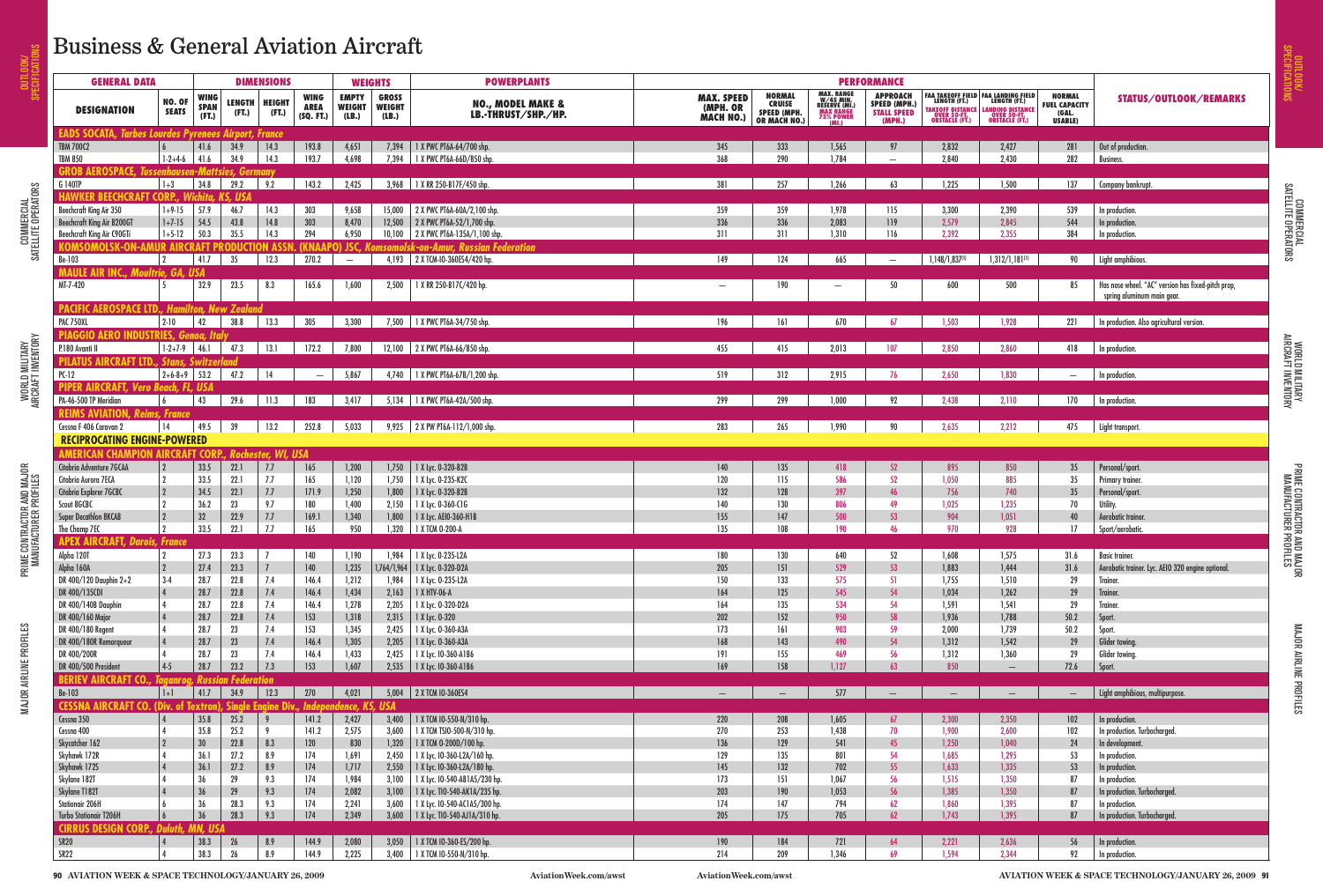| <b>GENERAL DATA</b>                                                                                  |                                                |                                     |                 |                                                |                                         |                                        | <b>DIMENSIONS</b>                      |                                                                  |                                            | <b>WEIGHTS</b>                                                       | <b>POWERPLANTS</b>                                                            |                                                                       |                                                                                                                              |                                                            | <b>PERFORMANCE</b>                                        |                                                                                  |  |  |  |
|------------------------------------------------------------------------------------------------------|------------------------------------------------|-------------------------------------|-----------------|------------------------------------------------|-----------------------------------------|----------------------------------------|----------------------------------------|------------------------------------------------------------------|--------------------------------------------|----------------------------------------------------------------------|-------------------------------------------------------------------------------|-----------------------------------------------------------------------|------------------------------------------------------------------------------------------------------------------------------|------------------------------------------------------------|-----------------------------------------------------------|----------------------------------------------------------------------------------|--|--|--|
| <b>DESIGNATION</b>                                                                                   | <b>NO. OF</b><br><b>SEATS</b>                  | <b>WING</b><br><b>SPAN</b><br>(FT.) | LENGTH<br>(FI.) | <b>HEIGHT</b><br>(FT.)                         | <b>WING</b><br><b>AREA</b><br>(SQ. FT.) | <b>EMPTY</b><br><b>WEIGHT</b><br>(LB.) | <b>GROSS</b><br><b>WEIGHT</b><br>(LB.) | <b>NO., MODEL MAKE &amp;</b><br>LB.-THRUST/SHP./HP.              | <b>MAX. SPEED</b><br>(MPH. OR<br>MACH NO.) | <b>NORMAL</b><br><b>CRUISE</b><br><b>SPEED (MPH.</b><br>OR MACH NO.) | <b>MAX. RANGE<br/>W/45 MIN.<br/>RESERVE (MI.)<br/>MAX RANGE<br/>75% POWER</b> | <b>APPROACH</b><br><b>SPEED (MPH.</b><br><b>STALL SPEED</b><br>(MPH.) | <b>FAA TAKEOFF FIELD FAA LANDING FIELD</b><br>LENGTH (FT.) LENGTH (FT.)<br>TAKEOFF DISTANCE<br>OVER 50-FT.<br>OBSTACLE (FT.) | <b>LANDING DISTANCE<br/>OVER 50-FT.<br/>OBSTACLE (FT.)</b> | <b>NORMAL</b><br><b>FUEL CAPACITY</b><br>(GAL.<br>USABLE) | STATUS/OUTLOOK/REMARKS                                                           |  |  |  |
| <b>TBM 700C2</b>                                                                                     | <b>Tarbes Lourdes Pyrenees Airport, France</b> | 41.6                                | 34.9            | 14.3                                           | 193.8                                   | 4,651                                  |                                        | 7,394 1 X PWC PT6A-64/700 shp.                                   | 345                                        | 333                                                                  | 1,565                                                                         | 97                                                                    | 2,832                                                                                                                        | 2,427                                                      | 281                                                       | Out of production.                                                               |  |  |  |
| <b>TBM 850</b>                                                                                       | $1 - 2 + 4 - 6$                                | 41.6                                | 34.9            | 14.3                                           | 193.7                                   | 4,698                                  |                                        | 7,394 1 X PWC PT6A-66D/850 shp.                                  | 368                                        | 290                                                                  | 1,784                                                                         | $\equiv$                                                              | 2,840                                                                                                                        | 2,430                                                      | 282                                                       | <b>Business.</b>                                                                 |  |  |  |
| ROSPACE, Tussenhausen-Mattsies, Germany                                                              |                                                |                                     |                 |                                                |                                         |                                        |                                        |                                                                  |                                            |                                                                      |                                                                               |                                                                       |                                                                                                                              |                                                            |                                                           |                                                                                  |  |  |  |
| G 140TP                                                                                              | $1+3$                                          | 34.8                                | 29.2            | 9.2                                            | 143.2                                   | 2,425                                  |                                        | 3,968 1 X RR 250-B17F/450 shp                                    | 381                                        | 257                                                                  | 1,266                                                                         | 63                                                                    | 1,225                                                                                                                        | 1,500                                                      | 137                                                       | Company bankrupt.                                                                |  |  |  |
| FFCHCR AFT                                                                                           | <b>CORP., Wichita, KS. USA</b>                 |                                     |                 |                                                |                                         |                                        |                                        |                                                                  |                                            |                                                                      |                                                                               |                                                                       |                                                                                                                              |                                                            |                                                           |                                                                                  |  |  |  |
| Beechcraft King Air 350<br><b>Beechcraft King Air B200GT</b>                                         | $1 + 9 - 15$<br>$ 1+7-15 $                     | 57.9<br>$\vert$ 54.5                | 46.7<br>43.8    | 14.3<br>14.8                                   | 303<br>303                              | 9,658<br>8,470                         | 15,000                                 | 2 X PWC PT6A-60A/2,100 shp.<br>12,500 2 X PWC PT6A-52/1,700 shp. | 359<br>336                                 | 359<br>336                                                           | 1,978<br>2,083                                                                | 115<br>119                                                            | 3,300<br>2,579                                                                                                               | 2,390<br>2,845                                             | 539<br>544                                                | In production.<br>In production.                                                 |  |  |  |
| Beechcraft King Air C90GTi                                                                           | $1+5-12$                                       | 50.3                                | 35.5            | 14.3                                           | 294                                     | 6,950                                  |                                        | 10,100 2 X PWC PT6A-135A/1,100 shp.                              | 311                                        | 311                                                                  | 1,310                                                                         | 116                                                                   | 2,392                                                                                                                        | 2,355                                                      | 384                                                       | In production.                                                                   |  |  |  |
| COMMERCIAL<br>Satellite operators<br><b>MOLSK-ON-AMUR AIRCRAFT</b>                                   |                                                |                                     |                 |                                                |                                         |                                        |                                        | nolsk-on-Amur, Russian Federation                                |                                            |                                                                      |                                                                               |                                                                       |                                                                                                                              |                                                            |                                                           |                                                                                  |  |  |  |
| Be-103                                                                                               | $\vert 2 \vert$                                | 41.7                                | 35              | 12.3                                           | 270.2                                   | $\overline{\phantom{a}}$               |                                        | 4,193 2 X TCM-IO-360ES4/420 hp.                                  | 149                                        | 124                                                                  | 665                                                                           | $\overline{\phantom{m}}$                                              | $1,148/1,837^{(1)}$                                                                                                          | $1,312/1,181^{(1)}$                                        | 90                                                        | Light amphibious.                                                                |  |  |  |
| IR INC. Moultrie GA IISA<br>MT-7-420                                                                 |                                                | 32.9                                | 23.5            | 8.3                                            | 165.6                                   | 1,600                                  | 2,500                                  | 1 X RR 250-B17C/420 hp.                                          | $\qquad \qquad -$                          | 190                                                                  | $\overline{\phantom{m}}$                                                      | 50                                                                    | 600                                                                                                                          | 500                                                        | 85                                                        | Has nose wheel. "AC" version has fixed-pitch prop,<br>spring aluminum main gear. |  |  |  |
|                                                                                                      | ROSPACE LTD Hamilton. New Zealand              |                                     |                 |                                                |                                         |                                        |                                        |                                                                  |                                            |                                                                      |                                                                               |                                                                       |                                                                                                                              |                                                            |                                                           |                                                                                  |  |  |  |
| <b>PAC 750XL</b>                                                                                     | $ 2-10$                                        | 42                                  | 38.8            | 13.3                                           | 305                                     | 3,300                                  |                                        | 7,500 1 X PWC PT6A-34/750 shp.                                   | 196                                        | 161                                                                  | 670                                                                           | 67                                                                    | 1,503                                                                                                                        | 1,928                                                      | 221                                                       | In production. Also agricultural version.                                        |  |  |  |
| WORLD MILITARY<br>AIRCRAFT INVENTORY<br>P.180 Avanti II                                              | <b>ERO INDUSTRIES, Genoa, Italy</b>            | $1-2+7-9$ 46.1 47.3                 |                 | 13.1                                           | 172.2                                   | 7,800                                  |                                        | 12,100 2 X PWC PT6A-66/850 shp.                                  | 455                                        | 415                                                                  | 2,013                                                                         | 107                                                                   | 2.850                                                                                                                        | 2.860                                                      | 418                                                       | In production.                                                                   |  |  |  |
|                                                                                                      |                                                | <b>Stans, Switzerlan</b>            |                 |                                                |                                         |                                        |                                        |                                                                  |                                            |                                                                      |                                                                               |                                                                       |                                                                                                                              |                                                            |                                                           |                                                                                  |  |  |  |
| PC-12                                                                                                | $ 2+6-8+9 $ 53.2 $ $<br>Vero Beach. FL. USA    |                                     | 47.2            | 14                                             | $-$                                     | 5,867                                  |                                        | 4,740 1 X PWC PT6A-67B/1,200 shp.                                | 519                                        | 312                                                                  | 2,915                                                                         | 76                                                                    | 2.650                                                                                                                        | 1.830                                                      | $\overline{\phantom{m}}$                                  | In production.                                                                   |  |  |  |
| PA-46-500 TP Meridian                                                                                | $ 6\rangle$                                    | 43                                  | 29.6            | 11.3                                           | 183                                     | 3,417                                  |                                        | 5,134 1 X PWC PT6A-42A/500 shp.                                  | 299                                        | 299                                                                  | 1,000                                                                         | 92                                                                    | 2,438                                                                                                                        | 2,110                                                      | 170                                                       | In production.                                                                   |  |  |  |
| <b>WIATION, Reims, France</b>                                                                        |                                                |                                     |                 |                                                |                                         |                                        |                                        |                                                                  |                                            |                                                                      |                                                                               |                                                                       |                                                                                                                              |                                                            |                                                           |                                                                                  |  |  |  |
| Cessna F 406 Caravan 2<br><b>RECIPROCATING ENGINE-POWERED</b>                                        | 14                                             | 49.5                                | 39              | 13.2<br><b>CRAFT CORP., Rochester, WI, USA</b> | 252.8                                   | 5,033                                  |                                        | 9,925 2 X PW PT6A-112/1,000 shp.                                 | 283                                        | 265                                                                  | 1,990                                                                         | 90                                                                    | 2,635                                                                                                                        | 2,212                                                      | 475                                                       | Light transport.                                                                 |  |  |  |
| Citabria Adventure 7GCAA                                                                             |                                                | 33.5                                | 22.1            | 7.7                                            | 165                                     | 1,200                                  |                                        | 1,750   1 X Lyc. 0-320-B2B                                       | 140                                        | 135                                                                  | 418                                                                           | 52                                                                    | 895                                                                                                                          | 850                                                        | 35                                                        | Personal/sport.                                                                  |  |  |  |
| Citabria Aurora 7ECA                                                                                 |                                                | 33.5                                | 22.1            | 7.7                                            | 165                                     | 1,120                                  | 1,750                                  | 1 X Lyc. 0-235-K2C                                               | 120                                        | 115                                                                  | 586                                                                           | 52                                                                    | 1,050                                                                                                                        | 885                                                        | 35                                                        | Primary trainer.                                                                 |  |  |  |
| Citabria Explorer 7GCBC                                                                              |                                                | $34.5$                              | 22.1            | 7.7                                            | 171.9                                   | 1,250                                  | 1,800                                  | 1 X Lyc. 0-320-B2B                                               | 132                                        | 128                                                                  | 397                                                                           | 46                                                                    | 756                                                                                                                          | 740                                                        | 35                                                        | Personal/sport.                                                                  |  |  |  |
| Scout 8GCBC                                                                                          |                                                | 36.2                                | 23              | 9.7                                            | 180                                     | 1,400                                  | 2,150                                  | 1 X Lyc. 0-360-C1G                                               | 140                                        | 130                                                                  | 806                                                                           | 49                                                                    | 1,025                                                                                                                        | 1,235                                                      | 70                                                        | Utility.                                                                         |  |  |  |
| PRIME CONTRACTOR AND MAJOR<br>MANUFACTURER PROFILES<br><b>Super Decathlon 8KCAB</b><br>The Champ 7EC |                                                | 32<br>33.5                          | 22.9<br>22.1    | $7.7\,$<br>7.7                                 | 169.1<br>165                            | 1,340<br>950                           | 1,800                                  | 1 X Lyc. AEIO-360-H1B<br>1,320   1 X TCM 0-200-A                 | 155<br>135                                 | 147<br>108                                                           | 500<br>190                                                                    | 53<br>46                                                              | 904<br>970                                                                                                                   | 1,051<br>928                                               | 40<br>17                                                  | Aerobatic trainer.<br>Sport/aerobatic.                                           |  |  |  |
| <b>PEX AIRCRAFT, Darois, France</b>                                                                  |                                                |                                     |                 |                                                |                                         |                                        |                                        |                                                                  |                                            |                                                                      |                                                                               |                                                                       |                                                                                                                              |                                                            |                                                           |                                                                                  |  |  |  |
| Alpha 120T                                                                                           |                                                | 27.3                                | 23.3            |                                                | 140                                     | 1,190                                  | 1,984                                  | 1 X Lyc. 0-235-L2A                                               | 180                                        | 130                                                                  | 640                                                                           | 52                                                                    | 1,608                                                                                                                        | 1,575                                                      | 31.6                                                      | <b>Basic trainer</b>                                                             |  |  |  |
| Alpha 160A                                                                                           | $\overline{2}$                                 | 27.4                                | 23.3            | $\overline{7}$                                 | 140                                     | 1,235                                  |                                        | 1,764/1,964   1 X Lyc. 0-320-D2A                                 | 205                                        | 151                                                                  | 529                                                                           | 53                                                                    | 1,883                                                                                                                        | 1,444                                                      | 31.6                                                      | Aerobatic trainer. Lyc. AEIO 320 engine optional.                                |  |  |  |
| DR 400/120 Dauphin 2+2                                                                               | $3-4$                                          | 28.7                                | 22.8            | 7.4                                            | 146.4                                   | 1,212                                  | 1,984                                  | 1 X Lyc. 0-235-L2A                                               | 150                                        | 133                                                                  | 575                                                                           | -51                                                                   | 1,755                                                                                                                        | 1,510                                                      | 29                                                        | Trainer.                                                                         |  |  |  |
| DR 400/135CDI                                                                                        |                                                | $28.7$                              | 22.8            | 7.4                                            | 146.4                                   | 1,434                                  | 2,163                                  | 1 X HTV-06-A                                                     | 164                                        | 125                                                                  | 545                                                                           | 54                                                                    | 1,034                                                                                                                        | 1,262                                                      | 29                                                        | Trainer.                                                                         |  |  |  |
| DR 400/140B Dauphin<br>DR 400/160 Major                                                              |                                                | 28.7<br>$28.7$                      | 22.8<br>22.8    | 7.4<br>7.4                                     | 146.4<br>153                            | 1,278<br>1,318                         | 2,205<br>2,315                         | 1 X Lyc. 0-320-D2A<br>1 X Lyc. 0-320                             | 164<br>202                                 | 135<br>152                                                           | 534<br>950                                                                    | 54<br>58                                                              | 1,591<br>1,936                                                                                                               | 1,541<br>1,788                                             | 29<br>50.2                                                | Trainer.<br>Sport.                                                               |  |  |  |
| DR 400/180 Regent                                                                                    |                                                | 28.7                                | 23              | 7.4                                            | 153                                     | 1,345                                  | 2,425                                  | 1 X Lyc. 0-360-A3A                                               | 173                                        | 161                                                                  | 903                                                                           | 59                                                                    | 2,000                                                                                                                        | 1,739                                                      | $50.2$                                                    | Sport.                                                                           |  |  |  |
| DR 400/180R Remorqueur                                                                               |                                                | 28.7                                | 23              | 7.4                                            | 146.4                                   | 1,305                                  | 2,205                                  | 1 X Lyc. 0-360-A3A                                               | 168                                        | 143                                                                  | 490                                                                           | 54                                                                    | 1,312                                                                                                                        | 1,542                                                      | 29                                                        | Glider towing.                                                                   |  |  |  |
| DR 400/200R                                                                                          |                                                | 28.7                                | 23              | 7.4                                            | 146.4                                   | 1,433                                  | 2,425                                  | 1 X Lyc. 10-360-A1B6                                             | 191                                        | 155                                                                  | 469                                                                           | 56                                                                    | 1,312                                                                                                                        | 1,360                                                      | 29                                                        | Glider towing.                                                                   |  |  |  |
| DR 400/500 President<br>AIRCRAFT CO., Taganroa, Russian Federation                                   | $4-5$                                          | $\vert$ 28.7                        | 23.2            | 7.3                                            | 153                                     | 1,607                                  |                                        | 2,535   1 X Lyc. IO-360-A1B6                                     | 169                                        | 158                                                                  | 1,127                                                                         | 63                                                                    | 850                                                                                                                          | $-$                                                        | 72.6                                                      | Sport.                                                                           |  |  |  |
| Be-103                                                                                               | $ 1+1 $                                        | 41.7                                | 34.9            | 12.3                                           | 270                                     | 4,021                                  |                                        | 5,004 2 X TCM IO-360ES4                                          | $-$                                        | $\overline{\phantom{m}}$                                             | 577                                                                           | $\overline{\phantom{m}}$                                              | $\overline{\phantom{a}}$                                                                                                     | $\hspace{0.1mm}-\hspace{0.1mm}$                            | $-$                                                       | Light amphibious, multipurpose.                                                  |  |  |  |
| <b>CESSN</b><br><b>AIRCRAFT CO. (Div. of Textron).</b><br>Cessna 350                                 | $ 4\rangle$                                    | 35.8                                | 25.2            | <b>Single Engine Div.</b><br>9                 | 141.2                                   | . Independence, KS, USA<br>2,427       |                                        | 3,400   1 X TCM IO-550-N/310 hp.                                 | 220                                        | 208                                                                  | 1,605                                                                         | 67                                                                    | 2,300                                                                                                                        | 2,350                                                      | 102                                                       | In production.                                                                   |  |  |  |
| Cessna 400                                                                                           |                                                | 35.8                                | 25.2            | 9                                              | 141.2                                   | 2,575                                  | 3,600                                  | 1 X TCM TSIO-500-N/310 hp.                                       | 270                                        | 253                                                                  | 1,438                                                                         | 70                                                                    | 1,900                                                                                                                        | 2,600                                                      | 102                                                       | In production. Turbocharged.                                                     |  |  |  |
| Skycatcher 162                                                                                       |                                                | $30\,$                              | 22.8            | 8.3                                            | 120                                     | 830                                    | 1,320                                  | 1 X TCM 0-200D/100 hp.                                           | 136                                        | 129                                                                  | 541                                                                           | 45                                                                    | 1,250                                                                                                                        | 1,040                                                      | 24                                                        | In development.                                                                  |  |  |  |
| Skyhawk 172R                                                                                         |                                                | 36.1                                | 27.2            | 8.9                                            | 174                                     | 1,691                                  | 2,450                                  | 1 X Lyc. 10-360-L2A/160 hp.                                      | 129                                        | 135                                                                  | 801                                                                           | 54                                                                    | 1,685                                                                                                                        | 1,295                                                      | 53                                                        | In production.                                                                   |  |  |  |
| Skyhawk 1725<br>Skylane 182T                                                                         |                                                | 36.1<br>36                          | 27.2<br>29      | $8.9\,$<br>9.3                                 | 174<br>174                              | 1,717<br>1,984                         | 2,550<br>3,100                         | 1 X Lyc. 10-360-L2A/180 hp.<br>1 X Lyc. 10-540-AB1A5/230 hp.     | 145<br>173                                 | 132<br>151                                                           | 702<br>1,067                                                                  | 55<br>56                                                              | 1,633<br>1,515                                                                                                               | 1,335<br>1,350                                             | 53<br>87                                                  | In production.<br>In production.                                                 |  |  |  |
| Skylane T182T                                                                                        |                                                | $36\,$                              | 29              | 9.3                                            | 174                                     | 2,082                                  |                                        | 3,100   1 X Lyc. TIO-540-AK1A/235 hp.                            | 203                                        | 190                                                                  | 1,053                                                                         | 56                                                                    | 1,385                                                                                                                        | 1,350                                                      | 87                                                        | In production. Turbocharged.                                                     |  |  |  |
| Stationair 206H                                                                                      |                                                | 36                                  | 28.3            | 9.3                                            | 174                                     | 2,241                                  | 3,600                                  | 1 X Lyc. 10-540-AC1 A5/300 hp.                                   | 174                                        | 147                                                                  | 794                                                                           | 62                                                                    | 1,860                                                                                                                        | 1,395                                                      | -87                                                       | In production.                                                                   |  |  |  |
|                                                                                                      |                                                | 36                                  | 28.3            | 9.3                                            | 174                                     | 2,349                                  |                                        | 3,600 1 X Lyc. TIO-540-AJ1A/310 hp.                              | 205                                        | 175                                                                  | 705                                                                           | 62                                                                    | 1,743                                                                                                                        | 1,395                                                      | 87                                                        | In production. Turbocharged                                                      |  |  |  |
| <b>Turbo Stationair T206H</b>                                                                        |                                                |                                     |                 |                                                |                                         |                                        |                                        |                                                                  |                                            |                                                                      |                                                                               |                                                                       |                                                                                                                              |                                                            |                                                           |                                                                                  |  |  |  |
| <b>CIRRUS DESIGN CORP., Duluth</b><br><b>SR20</b>                                                    | $ 4\rangle$                                    | <b>MN. USA</b><br>38.3              | 26              | 8.9                                            | 144.9                                   | 2,080                                  |                                        | 3,050   1 X TCM IO-360-ES/200 hp.                                | 190                                        | 184                                                                  | 721                                                                           | 64                                                                    | 2,221                                                                                                                        | 2,636                                                      | 56                                                        | In production.                                                                   |  |  |  |